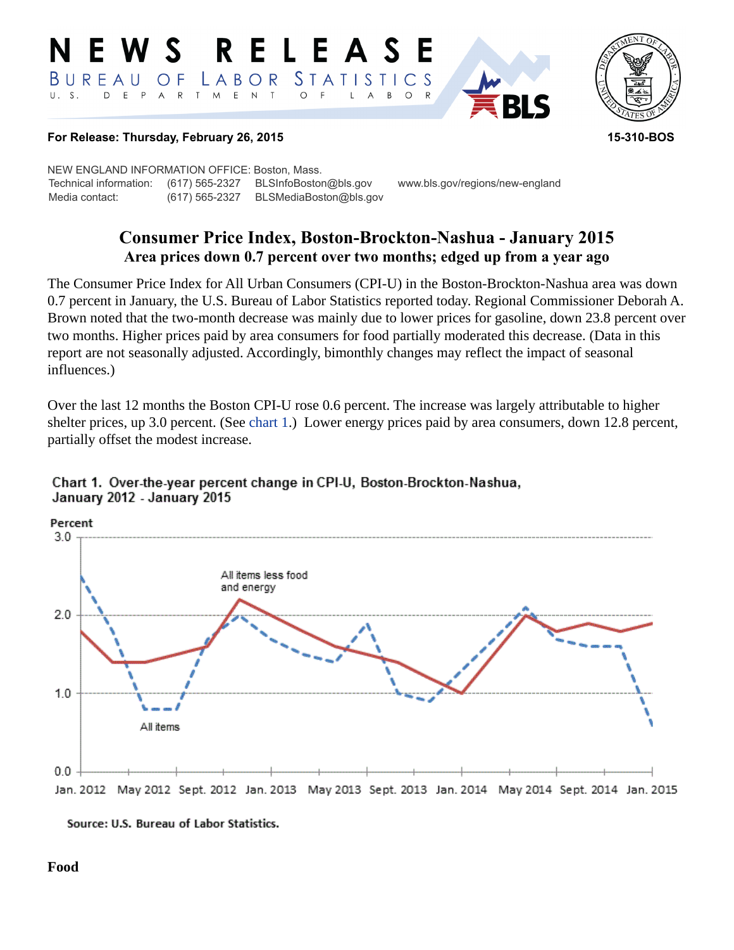#### RELEASE EWS BUREAU STATISTICS LABOR O F D E P T M E N T  $U. S.$ A R  $\circ$ B  $\circ$ A



#### **For Release: Thursday, February 26, 2015 15-310-BOS**

NEW ENGLAND INFORMATION OFFICE: Boston, Mass. Technical information: (617) 565-2327 BLSInfoBoston@bls.gov www.bls.gov/regions/new-england Media contact: (617) 565-2327 BLSMediaBoston@bls.gov

# **Consumer Price Index, Boston-Brockton-Nashua - January 2015 Area prices down 0.7 percent over two months; edged up from a year ago**

The Consumer Price Index for All Urban Consumers (CPI-U) in the Boston-Brockton-Nashua area was down 0.7 percent in January, the U.S. Bureau of Labor Statistics reported today. Regional Commissioner Deborah A. Brown noted that the two-month decrease was mainly due to lower prices for gasoline, down 23.8 percent over two months. Higher prices paid by area consumers for food partially moderated this decrease. (Data in this report are not seasonally adjusted. Accordingly, bimonthly changes may reflect the impact of seasonal influences.)

Over the last 12 months the Boston CPI-U rose 0.6 percent. The increase was largely attributable to higher shelter prices, up 3.0 percent. (See [chart 1](#page-0-0).) Lower energy prices paid by area consumers, down 12.8 percent, partially offset the modest increase.

## <span id="page-0-0"></span>Chart 1. Over-the-year percent change in CPI-U, Boston-Brockton-Nashua, January 2012 - January 2015





#### **Food**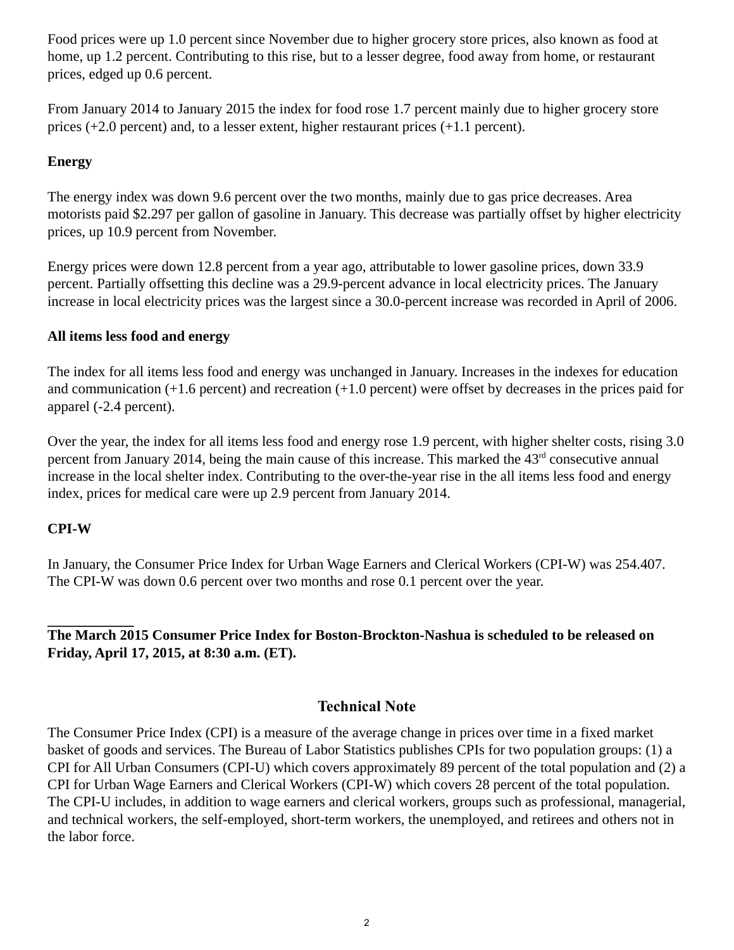Food prices were up 1.0 percent since November due to higher grocery store prices, also known as food at home, up 1.2 percent. Contributing to this rise, but to a lesser degree, food away from home, or restaurant prices, edged up 0.6 percent.

From January 2014 to January 2015 the index for food rose 1.7 percent mainly due to higher grocery store prices (+2.0 percent) and, to a lesser extent, higher restaurant prices (+1.1 percent).

## **Energy**

The energy index was down 9.6 percent over the two months, mainly due to gas price decreases. Area motorists paid \$2.297 per gallon of gasoline in January. This decrease was partially offset by higher electricity prices, up 10.9 percent from November.

Energy prices were down 12.8 percent from a year ago, attributable to lower gasoline prices, down 33.9 percent. Partially offsetting this decline was a 29.9-percent advance in local electricity prices. The January increase in local electricity prices was the largest since a 30.0-percent increase was recorded in April of 2006.

### **All items less food and energy**

The index for all items less food and energy was unchanged in January. Increases in the indexes for education and communication (+1.6 percent) and recreation (+1.0 percent) were offset by decreases in the prices paid for apparel (-2.4 percent).

Over the year, the index for all items less food and energy rose 1.9 percent, with higher shelter costs, rising 3.0 percent from January 2014, being the main cause of this increase. This marked the 43rd consecutive annual increase in the local shelter index. Contributing to the over-the-year rise in the all items less food and energy index, prices for medical care were up 2.9 percent from January 2014.

### **CPI-W**

In January, the Consumer Price Index for Urban Wage Earners and Clerical Workers (CPI-W) was 254.407. The CPI-W was down 0.6 percent over two months and rose 0.1 percent over the year.

## **The March 2015 Consumer Price Index for Boston-Brockton-Nashua is scheduled to be released on Friday, April 17, 2015, at 8:30 a.m. (ET).**

## **Technical Note**

The Consumer Price Index (CPI) is a measure of the average change in prices over time in a fixed market basket of goods and services. The Bureau of Labor Statistics publishes CPIs for two population groups: (1) a CPI for All Urban Consumers (CPI-U) which covers approximately 89 percent of the total population and (2) a CPI for Urban Wage Earners and Clerical Workers (CPI-W) which covers 28 percent of the total population. The CPI-U includes, in addition to wage earners and clerical workers, groups such as professional, managerial, and technical workers, the self-employed, short-term workers, the unemployed, and retirees and others not in the labor force.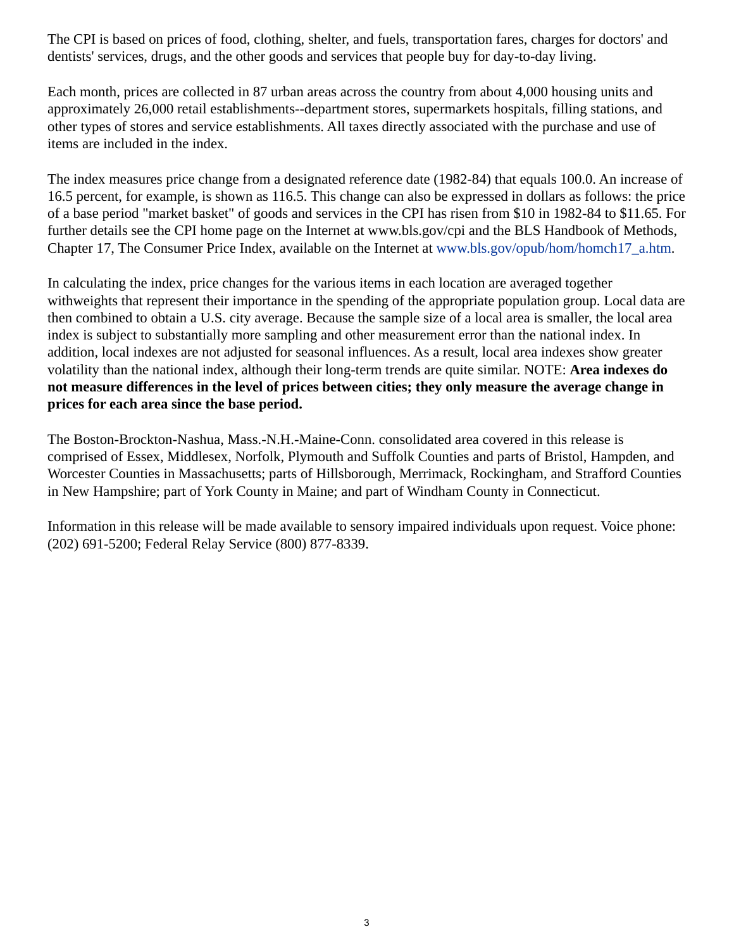The CPI is based on prices of food, clothing, shelter, and fuels, transportation fares, charges for doctors' and dentists' services, drugs, and the other goods and services that people buy for day-to-day living.

Each month, prices are collected in 87 urban areas across the country from about 4,000 housing units and approximately 26,000 retail establishments--department stores, supermarkets hospitals, filling stations, and other types of stores and service establishments. All taxes directly associated with the purchase and use of items are included in the index.

The index measures price change from a designated reference date (1982-84) that equals 100.0. An increase of 16.5 percent, for example, is shown as 116.5. This change can also be expressed in dollars as follows: the price of a base period "market basket" of goods and services in the CPI has risen from \$10 in 1982-84 to \$11.65. For further details see the CPI home page on the Internet at www.bls.gov/cpi and the BLS Handbook of Methods, Chapter 17, The Consumer Price Index, available on the Internet at [www.bls.gov/opub/hom/homch17\\_a.htm](https://www.bls.gov/opub/hom/homch17_a.htm).

In calculating the index, price changes for the various items in each location are averaged together withweights that represent their importance in the spending of the appropriate population group. Local data are then combined to obtain a U.S. city average. Because the sample size of a local area is smaller, the local area index is subject to substantially more sampling and other measurement error than the national index. In addition, local indexes are not adjusted for seasonal influences. As a result, local area indexes show greater volatility than the national index, although their long-term trends are quite similar. NOTE: **Area indexes do not measure differences in the level of prices between cities; they only measure the average change in prices for each area since the base period.**

The Boston-Brockton-Nashua, Mass.-N.H.-Maine-Conn. consolidated area covered in this release is comprised of Essex, Middlesex, Norfolk, Plymouth and Suffolk Counties and parts of Bristol, Hampden, and Worcester Counties in Massachusetts; parts of Hillsborough, Merrimack, Rockingham, and Strafford Counties in New Hampshire; part of York County in Maine; and part of Windham County in Connecticut.

Information in this release will be made available to sensory impaired individuals upon request. Voice phone: (202) 691-5200; Federal Relay Service (800) 877-8339.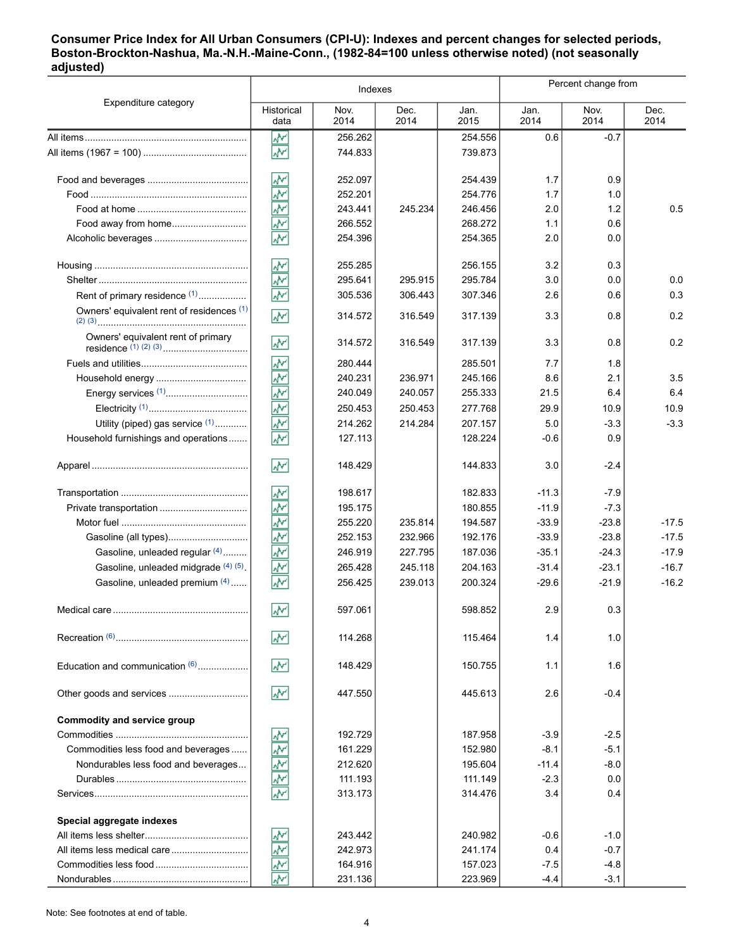#### **Consumer Price Index for All Urban Consumers (CPI-U): Indexes and percent changes for selected periods, Boston-Brockton-Nashua, Ma.-N.H.-Maine-Conn., (1982-84=100 unless otherwise noted) (not seasonally adjusted)**

|                                           | Indexes                             |              |              |              | Percent change from |              |              |
|-------------------------------------------|-------------------------------------|--------------|--------------|--------------|---------------------|--------------|--------------|
| Expenditure category                      | Historical<br>data                  | Nov.<br>2014 | Dec.<br>2014 | Jan.<br>2015 | Jan.<br>2014        | Nov.<br>2014 | Dec.<br>2014 |
|                                           | ₩                                   | 256.262      |              | 254.556      | 0.6                 | $-0.7$       |              |
|                                           | $\overline{\mathbf{v}}$             | 744.833      |              | 739.873      |                     |              |              |
|                                           | ۸Μ                                  | 252.097      |              | 254.439      | 1.7                 | 0.9          |              |
|                                           | š                                   | 252.201      |              | 254.776      | 1.7                 | 1.0          |              |
|                                           | $\bar{\mathbf{y}}$                  | 243.441      | 245.234      | 246.456      | 2.0                 | 1.2          | 0.5          |
| Food away from home                       | $\overline{\star}$                  | 266.552      |              | 268.272      | 1.1                 | 0.6          |              |
|                                           | $\overline{\mathbf{v}}$             | 254.396      |              | 254.365      | 2.0                 | 0.0          |              |
|                                           | ŵ٨                                  | 255.285      |              | 256.155      | 3.2                 | 0.3          |              |
|                                           | Ť                                   | 295.641      | 295.915      | 295.784      | 3.0                 | 0.0          | 0.0          |
| Rent of primary residence <sup>(1)</sup>  | $\sqrt{\mathbf{v}}$                 | 305.536      | 306.443      | 307.346      | 2.6                 | 0.6          | 0.3          |
| Owners' equivalent rent of residences (1) | ž                                   | 314.572      | 316.549      | 317.139      | 3.3                 | 0.8          | 0.2          |
| Owners' equivalent rent of primary        | ۸V                                  | 314.572      | 316.549      | 317.139      | 3.3                 | 0.8          | 0.2          |
|                                           | ž                                   | 280.444      |              | 285.501      | 7.7                 | 1.8          |              |
|                                           | ۸v                                  | 240.231      | 236.971      | 245.166      | 8.6                 | 2.1          | 3.5          |
|                                           | ۸v                                  | 240.049      | 240.057      | 255.333      | 21.5                | 6.4          | 6.4          |
|                                           | $\overline{\mathbf{v}}$             | 250.453      | 250.453      | 277.768      | 29.9                | 10.9         | 10.9         |
| Utility (piped) gas service (1)           | ۸V                                  | 214.262      | 214.284      | 207.157      | 5.0                 | $-3.3$       | $-3.3$       |
| Household furnishings and operations      | ۸v                                  | 127.113      |              | 128.224      | $-0.6$              | 0.9          |              |
|                                           | ۸M                                  | 148.429      |              | 144.833      | 3.0                 | $-2.4$       |              |
|                                           | ₩                                   | 198.617      |              | 182.833      | $-11.3$             | $-7.9$       |              |
| Private transportation                    | ۸Ņ                                  | 195.175      |              | 180.855      | $-11.9$             | $-7.3$       |              |
|                                           | š                                   | 255.220      | 235.814      | 194.587      | $-33.9$             | $-23.8$      | $-17.5$      |
|                                           | ۸v                                  | 252.153      | 232.966      | 192.176      | $-33.9$             | $-23.8$      | $-17.5$      |
| Gasoline, unleaded regular (4)            | ۸V                                  | 246.919      | 227.795      | 187.036      | $-35.1$             | $-24.3$      | $-17.9$      |
| Gasoline, unleaded midgrade (4) (5)       |                                     | 265.428      | 245.118      | 204.163      | $-31.4$             | $-23.1$      | $-16.7$      |
| Gasoline, unleaded premium (4)            | ۸V                                  | 256.425      | 239.013      | 200.324      | $-29.6$             | $-21.9$      | $-16.2$      |
|                                           | W                                   | 597.061      |              | 598.852      | 2.9                 | 0.3          |              |
|                                           | W                                   | 114.268      |              | 115.464      | 1.4                 | 1.0          |              |
| Education and communication $(6)$         | W٢                                  | 148.429      |              | 150.755      | 1.1                 | 1.6          |              |
| Other goods and services                  | $\sqrt{2}$                          | 447.550      |              | 445.613      | 2.6                 | $-0.4$       |              |
| Commodity and service group               |                                     |              |              |              |                     |              |              |
|                                           | <u>پښ</u>                           | 192.729      |              | 187.958      | $-3.9$              | $-2.5$       |              |
| Commodities less food and beverages       | $\frac{1}{2}$                       | 161.229      |              | 152.980      | $-8.1$              | $-5.1$       |              |
| Nondurables less food and beverages       | $\widehat{\overline{\mathbb{F}}^0}$ | 212.620      |              | 195.604      | $-11.4$             | $-8.0$       |              |
|                                           | $\frac{1}{2}$                       | 111.193      |              | 111.149      | $-2.3$              | 0.0          |              |
|                                           |                                     | 313.173      |              | 314.476      | 3.4                 | 0.4          |              |
| Special aggregate indexes                 |                                     |              |              |              |                     |              |              |
|                                           |                                     | 243.442      |              | 240.982      | $-0.6$              | $-1.0$       |              |
|                                           | ٩Ô٣                                 | 242.973      |              | 241.174      | 0.4                 | $-0.7$       |              |
|                                           |                                     | 164.916      |              | 157.023      | $-7.5$              | $-4.8$       |              |
|                                           |                                     | 231.136      |              | 223.969      | $-4.4$              | $-3.1$       |              |